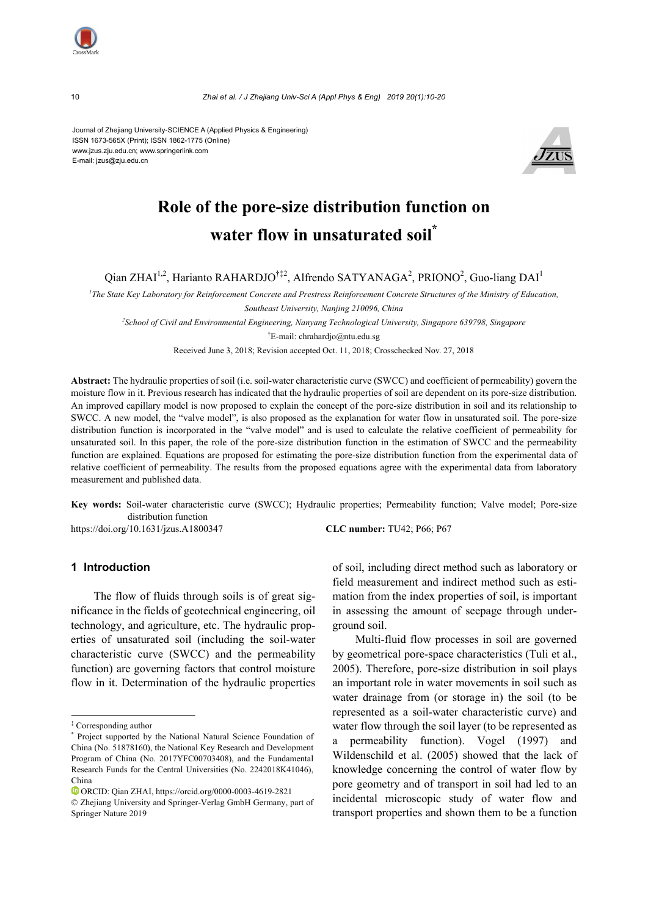

10 *Zhai et al. / J Zhejiang Univ-Sci A (Appl Phys & Eng) 2019 20(1):10-20*

Journal of Zhejiang University-SCIENCE A (Applied Physics & Engineering) ISSN 1673-565X (Print); ISSN 1862-1775 (Online) www.jzus.zju.edu.cn; www.springerlink.com E-mail: jzus@zju.edu.cn



# **Role of the pore-size distribution function on water flow in unsaturated soil\***

Qian ZHAI<sup>1,2</sup>, Harianto RAHARDJO<sup>†‡2</sup>, Alfrendo SATYANAGA<sup>2</sup>, PRIONO<sup>2</sup>, Guo-liang DAI<sup>1</sup>

<sup>1</sup>The State Key Laboratory for Reinforcement Concrete and Prestress Reinforcement Concrete Structures of the Ministry of Education, *Southeast University, Nanjing 210096, China 2 School of Civil and Environmental Engineering, Nanyang Technological University, Singapore 639798, Singapore*  † E-mail: chrahardjo@ntu.edu.sg

Received June 3, 2018; Revision accepted Oct. 11, 2018; Crosschecked Nov. 27, 2018

**Abstract:** The hydraulic properties of soil (i.e. soil-water characteristic curve (SWCC) and coefficient of permeability) govern the moisture flow in it. Previous research has indicated that the hydraulic properties of soil are dependent on its pore-size distribution. An improved capillary model is now proposed to explain the concept of the pore-size distribution in soil and its relationship to SWCC. A new model, the "valve model", is also proposed as the explanation for water flow in unsaturated soil. The pore-size distribution function is incorporated in the "valve model" and is used to calculate the relative coefficient of permeability for unsaturated soil. In this paper, the role of the pore-size distribution function in the estimation of SWCC and the permeability function are explained. Equations are proposed for estimating the pore-size distribution function from the experimental data of relative coefficient of permeability. The results from the proposed equations agree with the experimental data from laboratory measurement and published data.

**Key words:** Soil-water characteristic curve (SWCC); Hydraulic properties; Permeability function; Valve model; Pore-size distribution function https://doi.org/10.1631/jzus.A1800347 **CLC number:** TU42; P66; P67

# **1 Introduction**

The flow of fluids through soils is of great significance in the fields of geotechnical engineering, oil technology, and agriculture, etc. The hydraulic properties of unsaturated soil (including the soil-water characteristic curve (SWCC) and the permeability function) are governing factors that control moisture flow in it. Determination of the hydraulic properties

of soil, including direct method such as laboratory or field measurement and indirect method such as estimation from the index properties of soil, is important in assessing the amount of seepage through underground soil.

Multi-fluid flow processes in soil are governed by geometrical pore-space characteristics (Tuli et al., 2005). Therefore, pore-size distribution in soil plays an important role in water movements in soil such as water drainage from (or storage in) the soil (to be represented as a soil-water characteristic curve) and water flow through the soil layer (to be represented as a permeability function). Vogel (1997) and Wildenschild et al. (2005) showed that the lack of knowledge concerning the control of water flow by pore geometry and of transport in soil had led to an incidental microscopic study of water flow and transport properties and shown them to be a function

<sup>‡</sup> Corresponding author

<sup>\*</sup> Project supported by the National Natural Science Foundation of China (No. 51878160), the National Key Research and Development Program of China (No. 2017YFC00703408), and the Fundamental Research Funds for the Central Universities (No. 2242018K41046), China

ORCID: Qian ZHAI, https://orcid.org/0000-0003-4619-2821

<sup>©</sup> Zhejiang University and Springer-Verlag GmbH Germany, part of Springer Nature 2019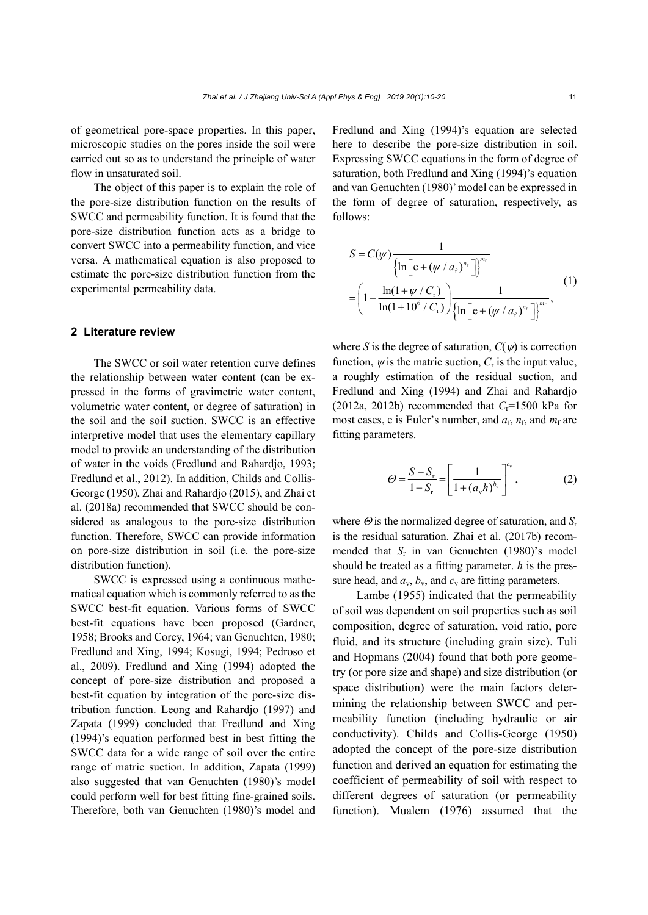of geometrical pore-space properties. In this paper, microscopic studies on the pores inside the soil were carried out so as to understand the principle of water flow in unsaturated soil.

The object of this paper is to explain the role of the pore-size distribution function on the results of SWCC and permeability function. It is found that the pore-size distribution function acts as a bridge to convert SWCC into a permeability function, and vice versa. A mathematical equation is also proposed to estimate the pore-size distribution function from the experimental permeability data.

#### **2 Literature review**

The SWCC or soil water retention curve defines the relationship between water content (can be expressed in the forms of gravimetric water content, volumetric water content, or degree of saturation) in the soil and the soil suction. SWCC is an effective interpretive model that uses the elementary capillary model to provide an understanding of the distribution of water in the voids (Fredlund and Rahardjo, 1993; Fredlund et al., 2012). In addition, Childs and Collis-George (1950), Zhai and Rahardjo (2015), and Zhai et al. (2018a) recommended that SWCC should be considered as analogous to the pore-size distribution function. Therefore, SWCC can provide information on pore-size distribution in soil (i.e. the pore-size distribution function).

SWCC is expressed using a continuous mathematical equation which is commonly referred to as the SWCC best-fit equation. Various forms of SWCC best-fit equations have been proposed (Gardner, 1958; Brooks and Corey, 1964; van Genuchten, 1980; Fredlund and Xing, 1994; Kosugi, 1994; Pedroso et al., 2009). Fredlund and Xing (1994) adopted the concept of pore-size distribution and proposed a best-fit equation by integration of the pore-size distribution function. Leong and Rahardjo (1997) and Zapata (1999) concluded that Fredlund and Xing (1994)'s equation performed best in best fitting the SWCC data for a wide range of soil over the entire range of matric suction. In addition, Zapata (1999) also suggested that van Genuchten (1980)'s model could perform well for best fitting fine-grained soils. Therefore, both van Genuchten (1980)'s model and Fredlund and Xing (1994)'s equation are selected here to describe the pore-size distribution in soil. Expressing SWCC equations in the form of degree of saturation, both Fredlund and Xing (1994)'s equation and van Genuchten (1980)' model can be expressed in the form of degree of saturation, respectively, as follows:

$$
S = C(\psi) \frac{1}{\left\{ \ln \left[ e + (\psi / a_{\rm f})^{n_{\rm f}} \right] \right\}^{m_{\rm f}}}
$$
  
= 
$$
\left( 1 - \frac{\ln(1 + \psi / C_{\rm r})}{\ln(1 + 10^6 / C_{\rm r})} \right) \frac{1}{\left\{ \ln \left[ e + (\psi / a_{\rm f})^{n_{\rm f}} \right] \right\}^{m_{\rm f}}},
$$
 (1)

where *S* is the degree of saturation,  $C(\psi)$  is correction function,  $\psi$  is the matric suction,  $C_r$  is the input value, a roughly estimation of the residual suction, and Fredlund and Xing (1994) and Zhai and Rahardjo (2012a, 2012b) recommended that  $C_r$ =1500 kPa for most cases, e is Euler's number, and  $a_f$ ,  $n_f$ , and  $m_f$  are fitting parameters.

$$
\Theta = \frac{S - S_{\rm r}}{1 - S_{\rm r}} = \left[ \frac{1}{1 + (a_{\rm v} h)^{b_{\rm v}}} \right]^{c_{\rm v}},\tag{2}
$$

where  $\Theta$  is the normalized degree of saturation, and  $S_r$ is the residual saturation. Zhai et al. (2017b) recommended that *S*r in van Genuchten (1980)'s model should be treated as a fitting parameter. *h* is the pressure head, and  $a_v$ ,  $b_v$ , and  $c_v$  are fitting parameters.

Lambe (1955) indicated that the permeability of soil was dependent on soil properties such as soil composition, degree of saturation, void ratio, pore fluid, and its structure (including grain size). Tuli and Hopmans (2004) found that both pore geometry (or pore size and shape) and size distribution (or space distribution) were the main factors determining the relationship between SWCC and permeability function (including hydraulic or air conductivity). Childs and Collis-George (1950) adopted the concept of the pore-size distribution function and derived an equation for estimating the coefficient of permeability of soil with respect to different degrees of saturation (or permeability function). Mualem (1976) assumed that the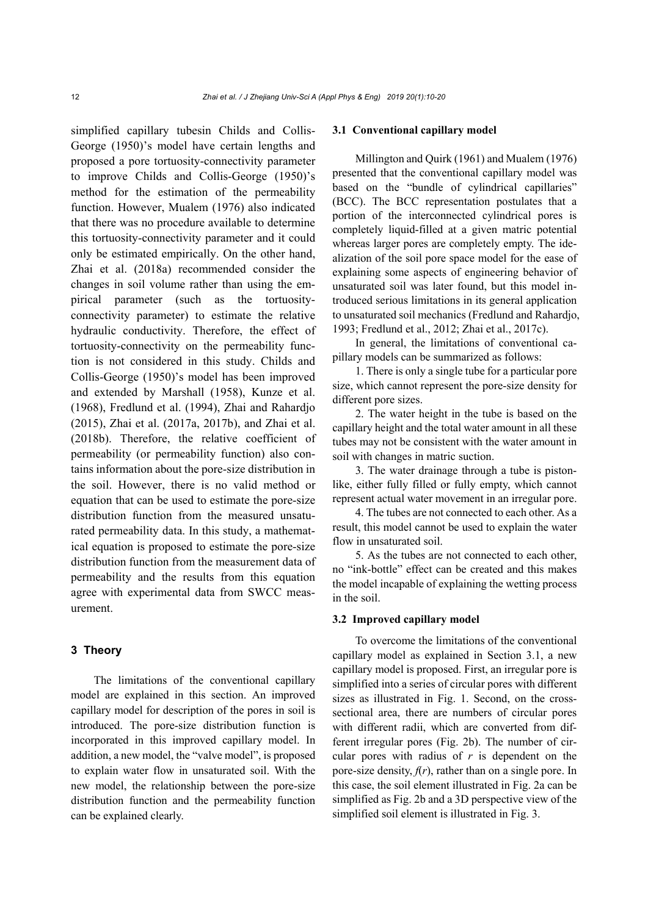simplified capillary tubesin Childs and Collis-George (1950)'s model have certain lengths and proposed a pore tortuosity-connectivity parameter to improve Childs and Collis-George (1950)'s method for the estimation of the permeability function. However, Mualem (1976) also indicated that there was no procedure available to determine this tortuosity-connectivity parameter and it could only be estimated empirically. On the other hand, Zhai et al. (2018a) recommended consider the changes in soil volume rather than using the empirical parameter (such as the tortuosityconnectivity parameter) to estimate the relative hydraulic conductivity. Therefore, the effect of tortuosity-connectivity on the permeability function is not considered in this study. Childs and Collis-George (1950)'s model has been improved and extended by Marshall (1958), Kunze et al. (1968), Fredlund et al. (1994), Zhai and Rahardjo (2015), Zhai et al. (2017a, 2017b), and Zhai et al. (2018b). Therefore, the relative coefficient of permeability (or permeability function) also contains information about the pore-size distribution in the soil. However, there is no valid method or equation that can be used to estimate the pore-size distribution function from the measured unsaturated permeability data. In this study, a mathematical equation is proposed to estimate the pore-size distribution function from the measurement data of permeability and the results from this equation agree with experimental data from SWCC measurement.

# **3 Theory**

The limitations of the conventional capillary model are explained in this section. An improved capillary model for description of the pores in soil is introduced. The pore-size distribution function is incorporated in this improved capillary model. In addition, a new model, the "valve model", is proposed to explain water flow in unsaturated soil. With the new model, the relationship between the pore-size distribution function and the permeability function can be explained clearly.

#### **3.1 Conventional capillary model**

Millington and Quirk (1961) and Mualem (1976) presented that the conventional capillary model was based on the "bundle of cylindrical capillaries" (BCC). The BCC representation postulates that a portion of the interconnected cylindrical pores is completely liquid-filled at a given matric potential whereas larger pores are completely empty. The idealization of the soil pore space model for the ease of explaining some aspects of engineering behavior of unsaturated soil was later found, but this model introduced serious limitations in its general application to unsaturated soil mechanics (Fredlund and Rahardjo, 1993; Fredlund et al., 2012; Zhai et al., 2017c).

In general, the limitations of conventional capillary models can be summarized as follows:

1. There is only a single tube for a particular pore size, which cannot represent the pore-size density for different pore sizes.

2. The water height in the tube is based on the capillary height and the total water amount in all these tubes may not be consistent with the water amount in soil with changes in matric suction.

3. The water drainage through a tube is pistonlike, either fully filled or fully empty, which cannot represent actual water movement in an irregular pore.

4. The tubes are not connected to each other. As a result, this model cannot be used to explain the water flow in unsaturated soil.

5. As the tubes are not connected to each other, no "ink-bottle" effect can be created and this makes the model incapable of explaining the wetting process in the soil.

#### **3.2 Improved capillary model**

To overcome the limitations of the conventional capillary model as explained in Section 3.1, a new capillary model is proposed. First, an irregular pore is simplified into a series of circular pores with different sizes as illustrated in Fig. 1. Second, on the crosssectional area, there are numbers of circular pores with different radii, which are converted from different irregular pores (Fig. 2b). The number of circular pores with radius of *r* is dependent on the pore-size density,  $f(r)$ , rather than on a single pore. In this case, the soil element illustrated in Fig. 2a can be simplified as Fig. 2b and a 3D perspective view of the simplified soil element is illustrated in Fig. 3.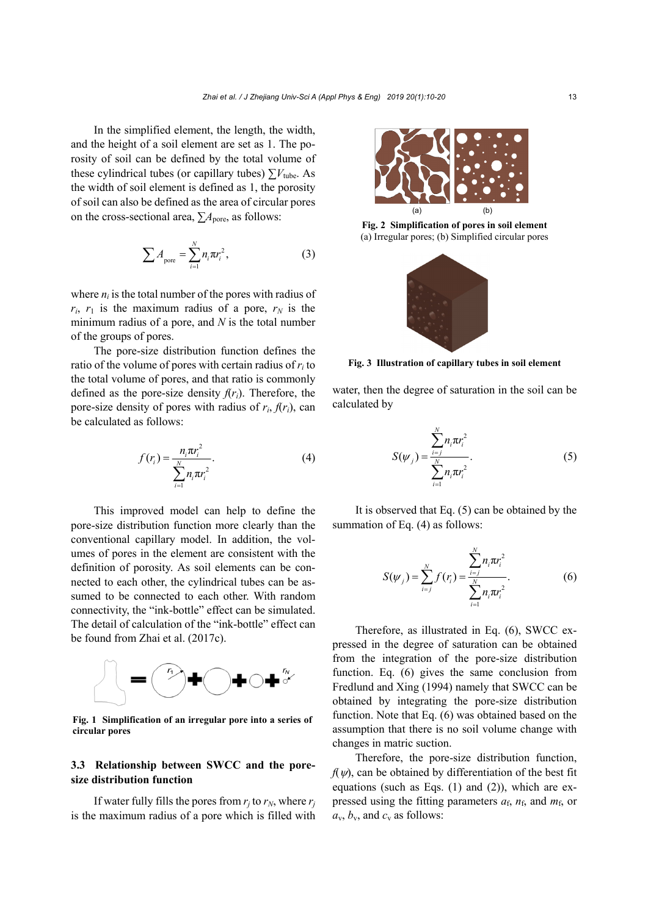In the simplified element, the length, the width, and the height of a soil element are set as 1. The porosity of soil can be defined by the total volume of these cylindrical tubes (or capillary tubes)  $\sum V_{\text{tube}}$ . As the width of soil element is defined as 1, the porosity of soil can also be defined as the area of circular pores on the cross-sectional area,  $\sum A_{\text{pore}}$ , as follows:

$$
\sum A_{\text{pore}} = \sum_{i=1}^{N} n_i \pi r_i^2, \qquad (3)
$$

where  $n_i$  is the total number of the pores with radius of  $r_i$ ,  $r_1$  is the maximum radius of a pore,  $r_N$  is the minimum radius of a pore, and *N* is the total number of the groups of pores.

The pore-size distribution function defines the ratio of the volume of pores with certain radius of *ri* to the total volume of pores, and that ratio is commonly defined as the pore-size density  $f(r_i)$ . Therefore, the pore-size density of pores with radius of  $r_i$ ,  $f(r_i)$ , can be calculated as follows:

$$
f(r_i) = \frac{n_i \pi r_i^2}{\sum_{i=1}^{N} n_i \pi r_i^2}.
$$
 (4)

This improved model can help to define the pore-size distribution function more clearly than the conventional capillary model. In addition, the volumes of pores in the element are consistent with the definition of porosity. As soil elements can be connected to each other, the cylindrical tubes can be assumed to be connected to each other. With random connectivity, the "ink-bottle" effect can be simulated. The detail of calculation of the "ink-bottle" effect can be found from Zhai et al. (2017c).



**Fig. 1 Simplification of an irregular pore into a series of circular pores** 

### **3.3 Relationship between SWCC and the poresize distribution function**

If water fully fills the pores from  $r_i$  to  $r_N$ , where  $r_j$ is the maximum radius of a pore which is filled with



**Fig. 2 Simplification of pores in soil element**  (a) Irregular pores; (b) Simplified circular pores



**Fig. 3 Illustration of capillary tubes in soil element** 

water, then the degree of saturation in the soil can be calculated by

$$
S(\psi_j) = \frac{\sum_{i=j}^{N} n_i \pi r_i^2}{\sum_{i=1}^{N} n_i \pi r_i^2}.
$$
 (5)

It is observed that Eq. (5) can be obtained by the summation of Eq. (4) as follows:

$$
S(\psi_j) = \sum_{i=j}^{N} f(r_i) = \frac{\sum_{i=j}^{N} n_i \pi r_i^2}{\sum_{i=1}^{N} n_i \pi r_i^2}.
$$
 (6)

Therefore, as illustrated in Eq. (6), SWCC expressed in the degree of saturation can be obtained from the integration of the pore-size distribution function. Eq. (6) gives the same conclusion from Fredlund and Xing (1994) namely that SWCC can be obtained by integrating the pore-size distribution function. Note that Eq. (6) was obtained based on the assumption that there is no soil volume change with changes in matric suction.

Therefore, the pore-size distribution function,  $f(\psi)$ , can be obtained by differentiation of the best fit equations (such as Eqs. (1) and (2)), which are expressed using the fitting parameters  $a_f$ ,  $n_f$ , and  $m_f$ , or  $a_v$ ,  $b_v$ , and  $c_v$  as follows: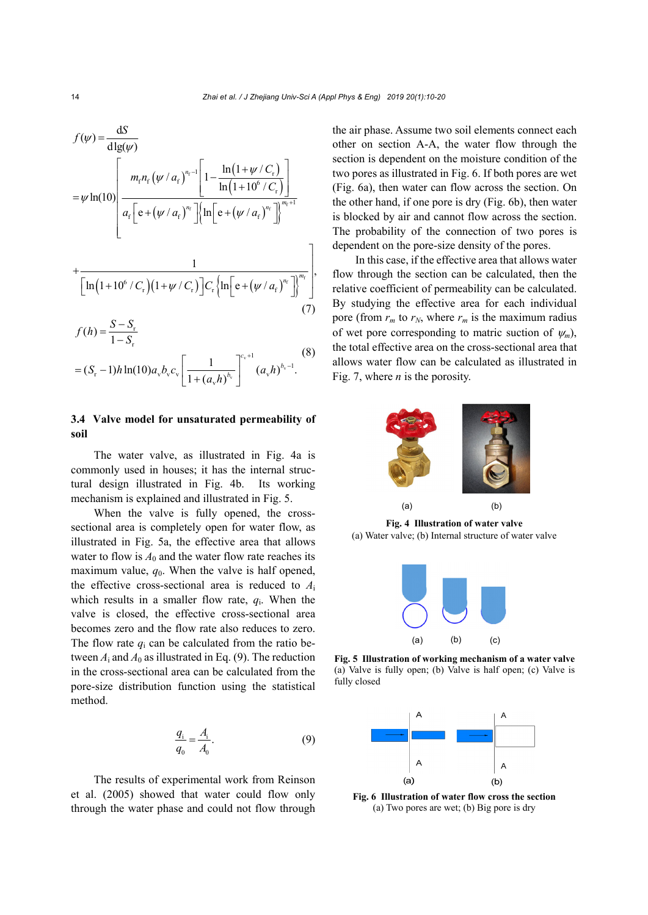$$
f(\psi) = \frac{dS}{d\lg(\psi)}
$$
  
=  $\psi \ln(10) \left[ \frac{m_r n_r (\psi / a_r)^{n_r-1} \left[ 1 - \frac{\ln(1 + \psi / C_r)}{\ln(1 + 10^6 / C_r)} \right]}{a_r \left[ e + (\psi / a_r)^{n_r} \right] \left\{ \ln \left[ e + (\psi / a_r)^{n_r} \right] \right\}^{m_r+1}}$   
+ 
$$
\frac{1}{\left[ \ln(1 + 10^6 / C_r)(1 + \psi / C_r) \right] C_r \left\{ \ln \left[ e + (\psi / a_r)^{n_r} \right] \right\}^{m_r}} \right],
$$
  
 $S - S$  (7)

$$
f(h) = \frac{S - S_r}{1 - S_r}
$$
  
=  $(S_r - 1)h \ln(10) a_v b_v c_v \left[ \frac{1}{1 + (a_v h)^{b_v}} \right]^{c_v + 1} (a_v h)^{b_v - 1}.$  (8)

## **3.4 Valve model for unsaturated permeability of soil**

The water valve, as illustrated in Fig. 4a is commonly used in houses; it has the internal structural design illustrated in Fig. 4b. Its working mechanism is explained and illustrated in Fig. 5.

When the valve is fully opened, the crosssectional area is completely open for water flow, as illustrated in Fig. 5a, the effective area that allows water to flow is  $A_0$  and the water flow rate reaches its maximum value,  $q_0$ . When the valve is half opened, the effective cross-sectional area is reduced to *A*<sup>i</sup> which results in a smaller flow rate,  $q_i$ . When the valve is closed, the effective cross-sectional area becomes zero and the flow rate also reduces to zero. The flow rate  $q_i$  can be calculated from the ratio between  $A_1$  and  $A_0$  as illustrated in Eq. (9). The reduction in the cross-sectional area can be calculated from the pore-size distribution function using the statistical method.

$$
\frac{q_i}{q_0} = \frac{A_i}{A_0}.
$$
 (9)

The results of experimental work from Reinson et al. (2005) showed that water could flow only through the water phase and could not flow through the air phase. Assume two soil elements connect each other on section A-A, the water flow through the section is dependent on the moisture condition of the two pores as illustrated in Fig. 6. If both pores are wet (Fig. 6a), then water can flow across the section. On the other hand, if one pore is dry (Fig. 6b), then water is blocked by air and cannot flow across the section. The probability of the connection of two pores is dependent on the pore-size density of the pores.

In this case, if the effective area that allows water flow through the section can be calculated, then the relative coefficient of permeability can be calculated. By studying the effective area for each individual pore (from  $r_m$  to  $r_N$ , where  $r_m$  is the maximum radius of wet pore corresponding to matric suction of  $\psi_m$ ), the total effective area on the cross-sectional area that allows water flow can be calculated as illustrated in Fig. 7, where *n* is the porosity.



**Fig. 4 Illustration of water valve**  (a) Water valve; (b) Internal structure of water valve



**Fig. 5 Illustration of working mechanism of a water valve** (a) Valve is fully open; (b) Valve is half open; (c) Valve is fully closed



**Fig. 6 Illustration of water flow cross the section**  (a) Two pores are wet; (b) Big pore is dry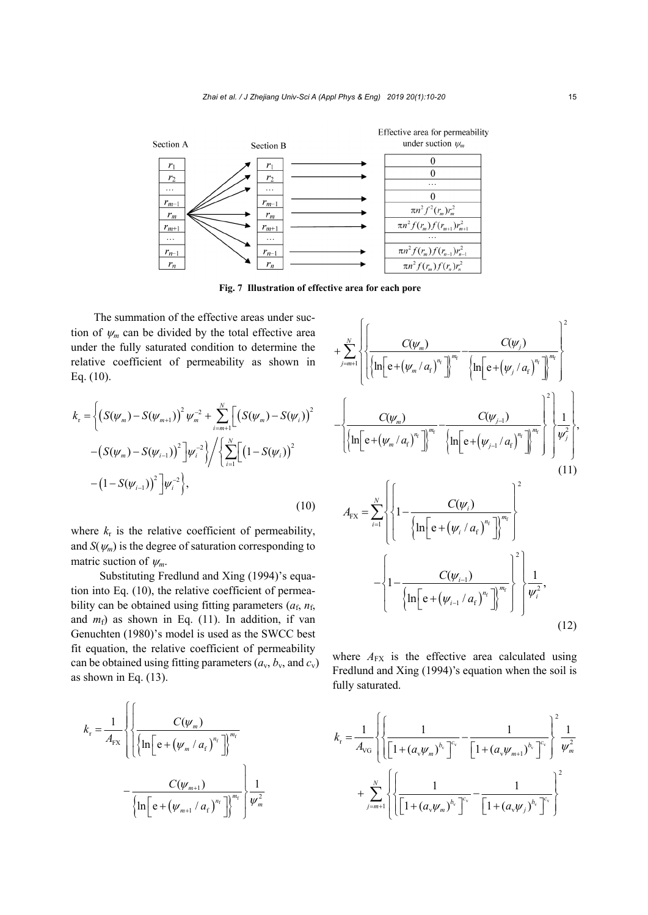

**Fig. 7 Illustration of effective area for each pore** 

The summation of the effective areas under suction of  $\psi_m$  can be divided by the total effective area under the fully saturated condition to determine the relative coefficient of permeability as shown in Eq. (10).

$$
k_{\rm r} = \left\{ \left( S(\psi_m) - S(\psi_{m+1}) \right)^2 \psi_m^{-2} + \sum_{i=m+1}^N \left[ \left( S(\psi_m) - S(\psi_i) \right)^2 - \left( S(\psi_m) - S(\psi_{i-1}) \right)^2 \right] \psi_i^{-2} \right\} / \left\{ \sum_{i=1}^N \left[ \left( 1 - S(\psi_i) \right)^2 - \left( 1 - S(\psi_{i-1}) \right)^2 \right] \psi_i^{-2} \right\},\tag{10}
$$

where  $k_r$  is the relative coefficient of permeability, and  $S(\psi_m)$  is the degree of saturation corresponding to matric suction of  $\psi_m$ .

Substituting Fredlund and Xing (1994)'s equation into Eq. (10), the relative coefficient of permeability can be obtained using fitting parameters  $(a_f, n_f)$ and  $m_f$ ) as shown in Eq. (11). In addition, if van Genuchten (1980)'s model is used as the SWCC best fit equation, the relative coefficient of permeability can be obtained using fitting parameters  $(a_v, b_v, \text{ and } c_v)$ as shown in Eq. (13).

$$
k_{\rm r} = \frac{1}{A_{\rm FX}} \left\{ \left\{ \frac{C(\psi_m)}{\left\{ \ln \left[ e + (\psi_m / a_{\rm f})^{n_{\rm f}}} \right] \right\}^{m_{\rm f}} - \frac{C(\psi_{m+1})}{\left\{ \ln \left[ e + (\psi_{m+1} / a_{\rm f})^{n_{\rm f}}} \right] \right\}^{m_{\rm f}} \right\} \frac{1}{\psi_m^2}
$$

$$
+\sum_{j=m+1}^{N}\left\{\left\{\frac{C(\psi_{m})}{\left\{\ln\left[e+(\psi_{m}/a_{f})^{n_{f}}\right]\right\}^{m_{f}}-\frac{C(\psi_{j})}{\left\{\ln\left[e+(\psi_{j}/a_{f})^{n_{f}}\right]\right\}^{m_{f}}}\right\}^{2}\right\}
$$
\n
$$
-\left\{\frac{C(\psi_{m})}{\left\{\ln\left[e+(\psi_{m}/a_{f})^{n_{f}}\right]\right\}^{m_{f}}-\frac{C(\psi_{j-1})}{\left\{\ln\left[e+(\psi_{j-1}/a_{f})^{n_{f}}\right]\right\}^{m_{f}}}\right\}^{2}\left\{\frac{1}{\psi_{j}^{2}}\right\},\tag{11}
$$
\n
$$
A_{\text{FX}}=\sum_{i=1}^{N}\left\{\left\{1-\frac{C(\psi_{i})}{\left\{\ln\left[e+(\psi_{i}/a_{f})^{n_{f}}\right]\right\}^{m_{f}}}\right\}^{2}\right\}
$$
\n
$$
-\left\{1-\frac{C(\psi_{i-1})}{\left\{\ln\left[e+(\psi_{i-1}/a_{f})^{n_{f}}\right]\right\}^{m_{f}}}\right\}^{2}\left\{\frac{1}{\psi_{i}^{2}},\tag{12}
$$

where  $A_{FX}$  is the effective area calculated using Fredlund and Xing (1994)'s equation when the soil is fully saturated.

$$
k_{\rm r} = \frac{1}{A_{\rm VG}} \left\{ \left\{ \frac{1}{\left[ 1 + (a_{\rm v} \psi_m)^{b_{\rm v}} \right]^{c_{\rm v}}} - \frac{1}{\left[ 1 + (a_{\rm v} \psi_{m+1})^{b_{\rm v}} \right]^{c_{\rm v}}} \right\}^2 \frac{1}{\psi_m^2} + \sum_{j=m+1}^N \left\{ \left\{ \frac{1}{\left[ 1 + (a_{\rm v} \psi_m)^{b_{\rm v}} \right]^{c_{\rm v}}} - \frac{1}{\left[ 1 + (a_{\rm v} \psi_j)^{b_{\rm v}} \right]^{c_{\rm v}}} \right\}^2 \right\}
$$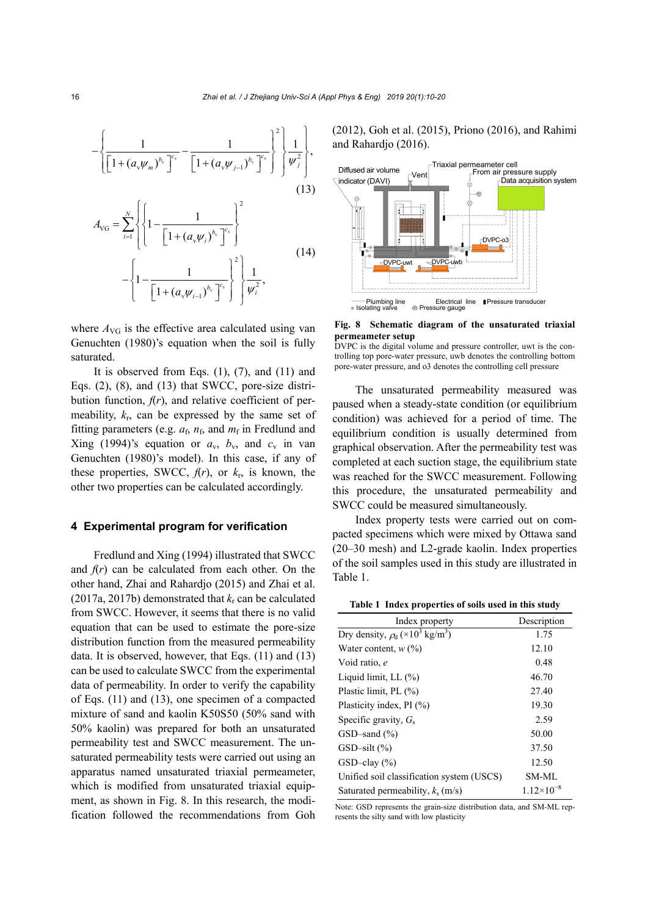$$
-\left\{\frac{1}{\left[1+(a_{\nu}\psi_{m})^{b_{\nu}}\right]^{c_{\nu}}}-\frac{1}{\left[1+(a_{\nu}\psi_{j-1})^{b_{\nu}}\right]^{c_{\nu}}}\right\}^{2}\left\{\frac{1}{\psi_{j}^{2}}\right\},
$$
\n(13)\n
$$
A_{\text{VG}} = \sum_{i=1}^{N} \left\{\left\{1-\frac{1}{\left[1+(a_{\nu}\psi_{i})^{b_{\nu}}\right]^{c_{\nu}}}\right\}^{2}\right\}
$$
\n(14)\n
$$
-\left\{1-\frac{1}{\left[1+(a_{\nu}\psi_{i-1})^{b_{\nu}}\right]^{c_{\nu}}}\right\}^{2}\left\{\frac{1}{\psi_{i}^{2}},\right\}
$$

where  $A_{\text{VG}}$  is the effective area calculated using van Genuchten (1980)'s equation when the soil is fully saturated.

It is observed from Eqs.  $(1)$ ,  $(7)$ , and  $(11)$  and Eqs. (2), (8), and (13) that SWCC, pore-size distribution function,  $f(r)$ , and relative coefficient of permeability, *k*r, can be expressed by the same set of fitting parameters (e.g.  $a_f$ ,  $n_f$ , and  $m_f$  in Fredlund and Xing (1994)'s equation or  $a_v$ ,  $b_v$ , and  $c_v$  in van Genuchten (1980)'s model). In this case, if any of these properties, SWCC,  $f(r)$ , or  $k_r$ , is known, the other two properties can be calculated accordingly.

#### **4 Experimental program for verification**

Fredlund and Xing (1994) illustrated that SWCC and  $f(r)$  can be calculated from each other. On the other hand, Zhai and Rahardjo (2015) and Zhai et al. (2017a, 2017b) demonstrated that *k*r can be calculated from SWCC. However, it seems that there is no valid equation that can be used to estimate the pore-size distribution function from the measured permeability data. It is observed, however, that Eqs. (11) and (13) can be used to calculate SWCC from the experimental data of permeability. In order to verify the capability of Eqs. (11) and (13), one specimen of a compacted mixture of sand and kaolin K50S50 (50% sand with 50% kaolin) was prepared for both an unsaturated permeability test and SWCC measurement. The unsaturated permeability tests were carried out using an apparatus named unsaturated triaxial permeameter, which is modified from unsaturated triaxial equipment, as shown in Fig. 8. In this research, the modification followed the recommendations from Goh (2012), Goh et al. (2015), Priono (2016), and Rahimi and Rahardjo (2016).



**Fig. 8 Schematic diagram of the unsaturated triaxial permeameter setup** 



The unsaturated permeability measured was paused when a steady-state condition (or equilibrium condition) was achieved for a period of time. The equilibrium condition is usually determined from graphical observation. After the permeability test was completed at each suction stage, the equilibrium state was reached for the SWCC measurement. Following this procedure, the unsaturated permeability and SWCC could be measured simultaneously.

Index property tests were carried out on compacted specimens which were mixed by Ottawa sand (20–30 mesh) and L2-grade kaolin. Index properties of the soil samples used in this study are illustrated in Table 1.

**Table 1 Index properties of soils used in this study** 

| Index property                                              | Description         |
|-------------------------------------------------------------|---------------------|
| Dry density, $\rho_d$ (×10 <sup>3</sup> kg/m <sup>3</sup> ) | 1.75                |
| Water content, $w$ (%)                                      | 12.10               |
| Void ratio, e                                               | 0.48                |
| Liquid limit, LL $(\%)$                                     | 46.70               |
| Plastic limit, PL (%)                                       | 27.40               |
| Plasticity index, PI (%)                                    | 19.30               |
| Specific gravity, $G_s$                                     | 2.59                |
| $GSD$ -sand $(\% )$                                         | 50.00               |
| $GSD-silt$ $(\%)$                                           | 37.50               |
| $GSD$ -clay $(\% )$                                         | 12.50               |
| Unified soil classification system (USCS)                   | <b>SM-ML</b>        |
| Saturated permeability, $k_s$ (m/s)                         | $1.12\times10^{-8}$ |

Note: GSD represents the grain-size distribution data, and SM-ML represents the silty sand with low plasticity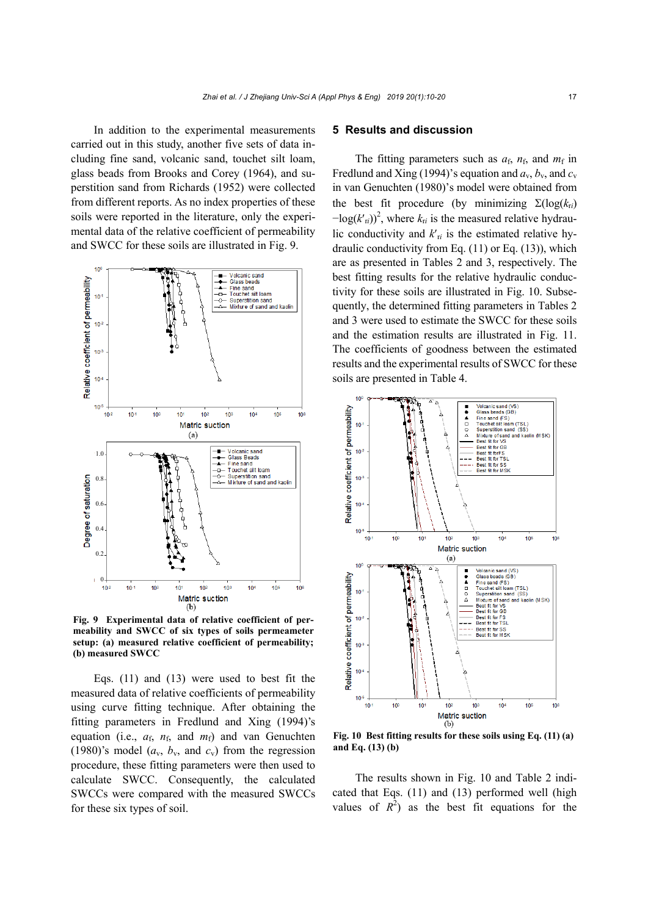In addition to the experimental measurements carried out in this study, another five sets of data including fine sand, volcanic sand, touchet silt loam, glass beads from Brooks and Corey (1964), and superstition sand from Richards (1952) were collected from different reports. As no index properties of these soils were reported in the literature, only the experimental data of the relative coefficient of permeability and SWCC for these soils are illustrated in Fig. 9.



**Fig. 9 Experimental data of relative coefficient of permeability and SWCC of six types of soils permeameter setup: (a) measured relative coefficient of permeability; (b) measured SWCC** 

Eqs. (11) and (13) were used to best fit the measured data of relative coefficients of permeability using curve fitting technique. After obtaining the fitting parameters in Fredlund and Xing (1994)'s equation (i.e.,  $a_f$ ,  $n_f$ , and  $m_f$ ) and van Genuchten (1980)'s model  $(a_v, b_v,$  and  $c_v$ ) from the regression procedure, these fitting parameters were then used to calculate SWCC. Consequently, the calculated SWCCs were compared with the measured SWCCs for these six types of soil.

#### **5 Results and discussion**

The fitting parameters such as  $a_f$ ,  $n_f$ , and  $m_f$  in Fredlund and Xing (1994)'s equation and  $a_v$ ,  $b_v$ , and  $c_v$ in van Genuchten (1980)'s model were obtained from the best fit procedure (by minimizing  $\Sigma(\log(k_{ri}))$  $-\log(k'_{ri})^2$ , where  $k_{ri}$  is the measured relative hydraulic conductivity and  $k'_{ri}$  is the estimated relative hydraulic conductivity from Eq.  $(11)$  or Eq.  $(13)$ ), which are as presented in Tables 2 and 3, respectively. The best fitting results for the relative hydraulic conductivity for these soils are illustrated in Fig. 10. Subsequently, the determined fitting parameters in Tables 2 and 3 were used to estimate the SWCC for these soils and the estimation results are illustrated in Fig. 11. The coefficients of goodness between the estimated results and the experimental results of SWCC for these soils are presented in Table 4.



**Fig. 10 Best fitting results for these soils using Eq. (11) (a) and Eq. (13) (b)** 

The results shown in Fig. 10 and Table 2 indicated that Eqs. (11) and (13) performed well (high values of  $R^2$ ) as the best fit equations for the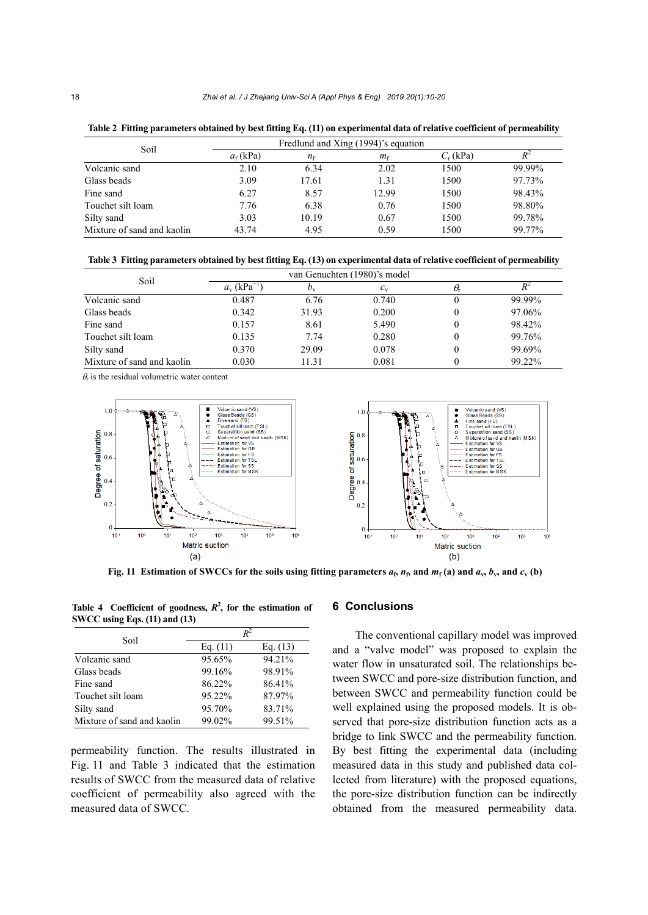| Soil                       |            | Fredlund and Xing (1994)'s equation |             |             |        |
|----------------------------|------------|-------------------------------------|-------------|-------------|--------|
|                            | $af$ (kPa) | $n_{\rm f}$                         | $m_{\rm f}$ | $C_r$ (kPa) |        |
| Volcanic sand              | 2.10       | 6.34                                | 2.02        | 1500        | 99.99% |
| Glass beads                | 3.09       | 17.61                               | 1.31        | 1500        | 97.73% |
| Fine sand                  | 6.27       | 8.57                                | 12.99       | 1500        | 98.43% |
| Touchet silt loam          | 7.76       | 6.38                                | 0.76        | 1500        | 98.80% |
| Silty sand                 | 3.03       | 10.19                               | 0.67        | 1500        | 99.78% |
| Mixture of sand and kaolin | 43.74      | 4.95                                | 0.59        | 1500        | 99.77% |

**Table 2 Fitting parameters obtained by best fitting Eq. (11) on experimental data of relative coefficient of permeability** 

**Table 3 Fitting parameters obtained by best fitting Eq. (13) on experimental data of relative coefficient of permeability** 

| Soil                       | van Genuchten (1980)'s model |             |             |    |        |
|----------------------------|------------------------------|-------------|-------------|----|--------|
|                            | $a_{v}$ (kPa <sup>-1</sup> ) | $D_{\rm v}$ | $c_{\rm v}$ | U. |        |
| Volcanic sand              | 0.487                        | 6.76        | 0.740       |    | 99.99% |
| Glass beads                | 0.342                        | 31.93       | 0.200       | 0  | 97.06% |
| Fine sand                  | 0.157                        | 8.61        | 5.490       | 0  | 98.42% |
| Touchet silt loam          | 0.135                        | 7.74        | 0.280       | 0  | 99.76% |
| Silty sand                 | 0.370                        | 29.09       | 0.078       | 0  | 99.69% |
| Mixture of sand and kaolin | 0.030                        | 11.31       | 0.081       |    | 99.22% |

 $\theta$  is the residual volumetric water content



**Fig. 11 Estimation of SWCCs for the soils using fitting parameters**  $a_5$ **,**  $n_5$ **, and**  $m_f$  **(a) and**  $a_v$ **,**  $b_v$ **, and**  $c_v$  **(b)** 

Table 4 Coefficient of goodness,  $R^2$ , for the estimation of **SWCC using Eqs. (11) and (13)** 

| Soil                       | $R^2$      |            |  |  |
|----------------------------|------------|------------|--|--|
|                            | Eq. $(11)$ | Eq. $(13)$ |  |  |
| Volcanic sand              | 95.65%     | 94.21%     |  |  |
| Glass beads                | 99.16%     | 98.91%     |  |  |
| Fine sand                  | 86.22%     | 86.41%     |  |  |
| Touchet silt loam          | 95.22%     | 87.97%     |  |  |
| Silty sand                 | 95.70%     | 83.71%     |  |  |
| Mixture of sand and kaolin | 99.02%     | 99.51%     |  |  |

permeability function. The results illustrated in Fig. 11 and Table 3 indicated that the estimation results of SWCC from the measured data of relative coefficient of permeability also agreed with the measured data of SWCC.

#### **6 Conclusions**

The conventional capillary model was improved and a "valve model" was proposed to explain the water flow in unsaturated soil. The relationships between SWCC and pore-size distribution function, and between SWCC and permeability function could be well explained using the proposed models. It is observed that pore-size distribution function acts as a bridge to link SWCC and the permeability function. By best fitting the experimental data (including measured data in this study and published data collected from literature) with the proposed equations, the pore-size distribution function can be indirectly obtained from the measured permeability data.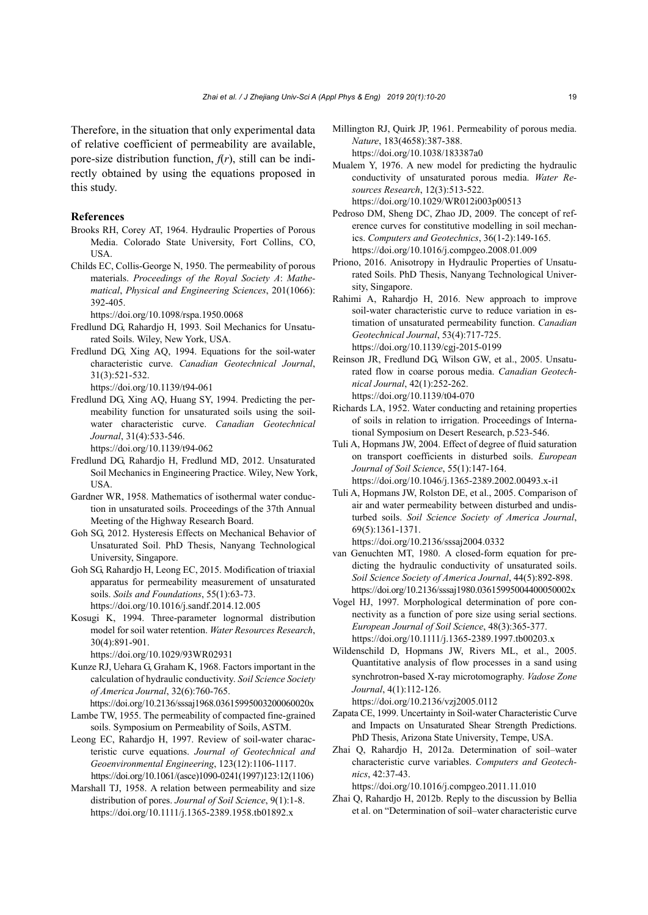Therefore, in the situation that only experimental data of relative coefficient of permeability are available, pore-size distribution function,  $f(r)$ , still can be indirectly obtained by using the equations proposed in this study.

#### **References**

- Brooks RH, Corey AT, 1964. Hydraulic Properties of Porous Media. Colorado State University, Fort Collins, CO, USA.
- Childs EC, Collis-George N, 1950. The permeability of porous materials. *Proceedings of the Royal Society A*: *Mathematical*, *Physical and Engineering Sciences*, 201(1066): 392-405.

https://doi.org/10.1098/rspa.1950.0068

- Fredlund DG, Rahardjo H, 1993. Soil Mechanics for Unsaturated Soils. Wiley, New York, USA.
- Fredlund DG, Xing AQ, 1994. Equations for the soil-water characteristic curve. *Canadian Geotechnical Journal*, 31(3):521-532.
	- https://doi.org/10.1139/t94-061
- Fredlund DG, Xing AQ, Huang SY, 1994. Predicting the permeability function for unsaturated soils using the soilwater characteristic curve. *Canadian Geotechnical Journal*, 31(4):533-546.

https://doi.org/10.1139/t94-062

- Fredlund DG, Rahardjo H, Fredlund MD, 2012. Unsaturated Soil Mechanics in Engineering Practice. Wiley, New York, **USA**
- Gardner WR, 1958. Mathematics of isothermal water conduction in unsaturated soils. Proceedings of the 37th Annual Meeting of the Highway Research Board.
- Goh SG, 2012. Hysteresis Effects on Mechanical Behavior of Unsaturated Soil. PhD Thesis, Nanyang Technological University, Singapore.
- Goh SG, Rahardjo H, Leong EC, 2015. Modification of triaxial apparatus for permeability measurement of unsaturated soils. *Soils and Foundations*, 55(1):63-73. https://doi.org/10.1016/j.sandf.2014.12.005
- Kosugi K, 1994. Three-parameter lognormal distribution model for soil water retention. *Water Resources Research*, 30(4):891-901.

https://doi.org/10.1029/93WR02931

Kunze RJ, Uehara G, Graham K, 1968. Factors important in the calculation of hydraulic conductivity. *Soil Science Society of America Journal*, 32(6):760-765.

https://doi.org/10.2136/sssaj1968.03615995003200060020x Lambe TW, 1955. The permeability of compacted fine-grained soils. Symposium on Permeability of Soils, ASTM.

- Leong EC, Rahardjo H, 1997. Review of soil-water characteristic curve equations. *Journal of Geotechnical and Geoenvironmental Engineering*, 123(12):1106-1117. https://doi.org/10.1061/(asce)1090-0241(1997)123:12(1106)
- Marshall TJ, 1958. A relation between permeability and size distribution of pores. *Journal of Soil Science*, 9(1):1-8. https://doi.org/10.1111/j.1365-2389.1958.tb01892.x
- Millington RJ, Quirk JP, 1961. Permeability of porous media. *Nature*, 183(4658):387-388. https://doi.org/10.1038/183387a0
- Mualem Y, 1976. A new model for predicting the hydraulic conductivity of unsaturated porous media. *Water Resources Research*, 12(3):513-522. https://doi.org/10.1029/WR012i003p00513
- Pedroso DM, Sheng DC, Zhao JD, 2009. The concept of reference curves for constitutive modelling in soil mechanics. *Computers and Geotechnics*, 36(1-2):149-165. https://doi.org/10.1016/j.compgeo.2008.01.009
- Priono, 2016. Anisotropy in Hydraulic Properties of Unsaturated Soils. PhD Thesis, Nanyang Technological University, Singapore.
- Rahimi A, Rahardjo H, 2016. New approach to improve soil-water characteristic curve to reduce variation in estimation of unsaturated permeability function. *Canadian Geotechnical Journal*, 53(4):717-725. https://doi.org/10.1139/cgj-2015-0199
- Reinson JR, Fredlund DG, Wilson GW, et al., 2005. Unsaturated flow in coarse porous media. *Canadian Geotechnical Journal*, 42(1):252-262. https://doi.org/10.1139/t04-070
- Richards LA, 1952. Water conducting and retaining properties of soils in relation to irrigation. Proceedings of International Symposium on Desert Research, p.523-546.
- Tuli A, Hopmans JW, 2004. Effect of degree of fluid saturation on transport coefficients in disturbed soils. *European Journal of Soil Science*, 55(1):147-164. https://doi.org/10.1046/j.1365-2389.2002.00493.x-i1
- Tuli A, Hopmans JW, Rolston DE, et al., 2005. Comparison of air and water permeability between disturbed and undisturbed soils. *Soil Science Society of America Journal*, 69(5):1361-1371. https://doi.org/10.2136/sssaj2004.0332
- van Genuchten MT, 1980. A closed-form equation for predicting the hydraulic conductivity of unsaturated soils. *Soil Science Society of America Journal*, 44(5):892-898. https://doi.org/10.2136/sssaj1980.03615995004400050002x
- Vogel HJ, 1997. Morphological determination of pore connectivity as a function of pore size using serial sections. *European Journal of Soil Science*, 48(3):365-377. https://doi.org/10.1111/j.1365-2389.1997.tb00203.x
- Wildenschild D, Hopmans JW, Rivers ML, et al., 2005. Quantitative analysis of flow processes in a sand using synchrotron-based X-ray microtomography. *Vadose Zone Journal*, 4(1):112-126.

https://doi.org/10.2136/vzj2005.0112

- Zapata CE, 1999. Uncertainty in Soil-water Characteristic Curve and Impacts on Unsaturated Shear Strength Predictions. PhD Thesis, Arizona State University, Tempe, USA.
- Zhai Q, Rahardjo H, 2012a. Determination of soil–water characteristic curve variables. *Computers and Geotechnics*, 42:37-43.

https://doi.org/10.1016/j.compgeo.2011.11.010

Zhai Q, Rahardjo H, 2012b. Reply to the discussion by Bellia et al. on "Determination of soil–water characteristic curve